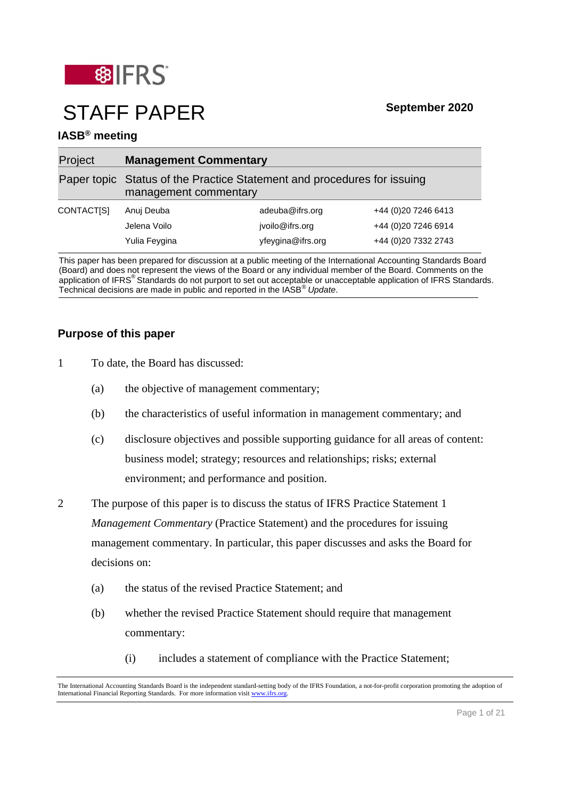

# STAFF PAPER **September <sup>2020</sup>**

# **IASB® meeting**

| Project    | <b>Management Commentary</b>                                                                     |                                    |                                             |
|------------|--------------------------------------------------------------------------------------------------|------------------------------------|---------------------------------------------|
|            | Paper topic Status of the Practice Statement and procedures for issuing<br>management commentary |                                    |                                             |
| CONTACT[S] | Anuj Deuba<br>Jelena Voilo                                                                       | adeuba@ifrs.org<br>jvoilo@ifrs.org | +44 (0) 20 7246 6413<br>+44 (0)20 7246 6914 |
|            | Yulia Feygina                                                                                    | yfeygina@ifrs.org                  | +44 (0)20 7332 2743                         |

This paper has been prepared for discussion at a public meeting of the International Accounting Standards Board (Board) and does not represent the views of the Board or any individual member of the Board. Comments on the application of IFRS<sup>®</sup> Standards do not purport to set out acceptable or unacceptable application of IFRS Standards. Technical decisions are made in public and reported in the IASB® *Update*.

# **Purpose of this paper**

- 1 To date, the Board has discussed:
	- (a) the objective of management commentary;
	- (b) the characteristics of useful information in management commentary; and
	- (c) disclosure objectives and possible supporting guidance for all areas of content: business model; strategy; resources and relationships; risks; external environment; and performance and position.
- 2 The purpose of this paper is to discuss the status of IFRS Practice Statement 1 *Management Commentary* (Practice Statement) and the procedures for issuing management commentary. In particular, this paper discusses and asks the Board for decisions on:
	- (a) the status of the revised Practice Statement; and
	- (b) whether the revised Practice Statement should require that management commentary:
		- (i) includes a statement of compliance with the Practice Statement;

The International Accounting Standards Board is the independent standard-setting body of the IFRS Foundation, a not-for-profit corporation promoting the adoption of International Financial Reporting Standards. For more information visi[t www.ifrs.org.](http://www.ifrs.org/)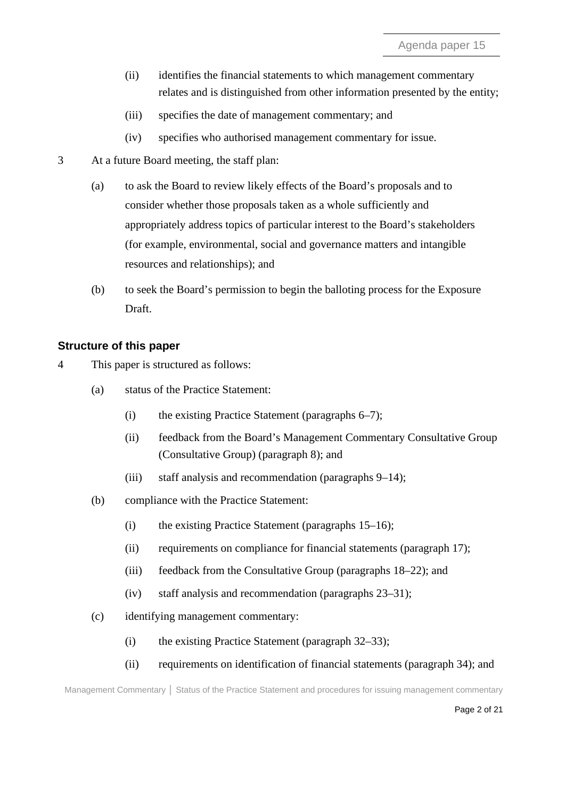- (ii) identifies the financial statements to which management commentary relates and is distinguished from other information presented by the entity;
- (iii) specifies the date of management commentary; and
- (iv) specifies who authorised management commentary for issue.
- 3 At a future Board meeting, the staff plan:
	- (a) to ask the Board to review likely effects of the Board's proposals and to consider whether those proposals taken as a whole sufficiently and appropriately address topics of particular interest to the Board's stakeholders (for example, environmental, social and governance matters and intangible resources and relationships); and
	- (b) to seek the Board's permission to begin the balloting process for the Exposure Draft.

# **Structure of this paper**

- 4 This paper is structured as follows:
	- (a) status of the Practice Statement:
		- (i) the existing Practice Statement (paragraphs [6–](#page-3-0)[7\)](#page-4-0);
		- (ii) feedback from the Board's Management Commentary Consultative Group (Consultative Group) (paragraph [8\)](#page-4-1); and
		- (iii) staff analysis and recommendation (paragraphs [9–](#page-4-2)[14\)](#page-6-0);
	- (b) compliance with the Practice Statement:
		- (i) the existing Practice Statement (paragraphs [15–](#page-6-1)[16\)](#page-6-2);
		- (ii) requirements on compliance for financial statements (paragraph [17\)](#page-7-0);
		- (iii) feedback from the Consultative Group (paragraphs [18](#page-7-1)[–22\)](#page-8-0); and
		- (iv) staff analysis and recommendation (paragraphs [23–](#page-8-1)31);
	- (c) identifying management commentary:
		- (i) the existing Practice Statement (paragraph [32–](#page-12-0)[33\)](#page-12-1);
		- (ii) requirements on identification of financial statements (paragraph [34\)](#page-12-2); and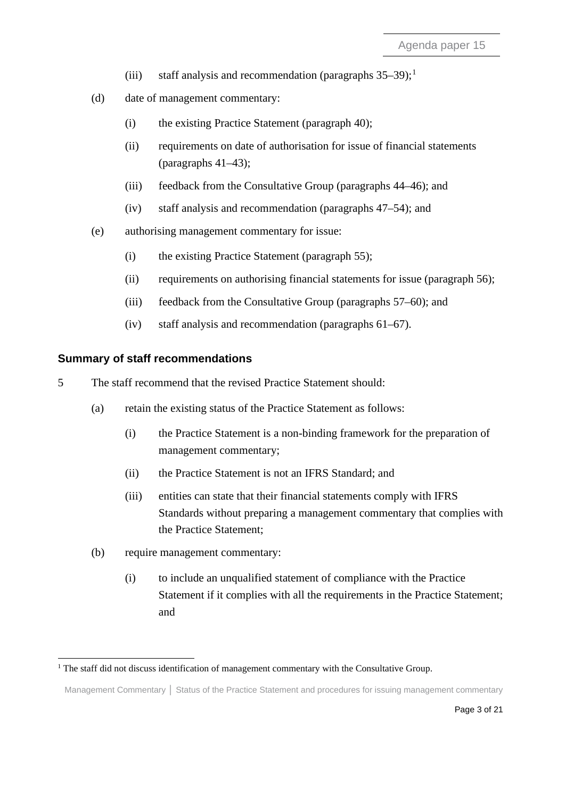- (iii) staff analysis and recommendation (paragraphs  $35-39$ );<sup>[1](#page-2-0)</sup>
- (d) date of management commentary:
	- (i) the existing Practice Statement (paragraph [40\)](#page-14-0);
	- (ii) requirements on date of authorisation for issue of financial statements (paragraphs  $41-43$ );
	- (iii) feedback from the Consultative Group (paragraphs [44](#page-15-0)[–46\)](#page-15-1); and
	- (iv) staff analysis and recommendation (paragraphs [47–](#page-15-2)[54\)](#page-17-0); and
- (e) authorising management commentary for issue:
	- (i) the existing Practice Statement (paragraph [55\)](#page-17-1);
	- (ii) requirements on authorising financial statements for issue (paragraph [56\)](#page-18-0);
	- (iii) feedback from the Consultative Group (paragraphs [57–](#page-18-1)60); and
	- (iv) staff analysis and recommendation (paragraphs [61–](#page-19-0)[67\)](#page-20-0).

#### **Summary of staff recommendations**

- 5 The staff recommend that the revised Practice Statement should:
	- (a) retain the existing status of the Practice Statement as follows:
		- (i) the Practice Statement is a non-binding framework for the preparation of management commentary;
		- (ii) the Practice Statement is not an IFRS Standard; and
		- (iii) entities can state that their financial statements comply with IFRS Standards without preparing a management commentary that complies with the Practice Statement;
	- (b) require management commentary:
		- (i) to include an unqualified statement of compliance with the Practice Statement if it complies with all the requirements in the Practice Statement; and

<span id="page-2-0"></span> $1$  The staff did not discuss identification of management commentary with the Consultative Group.

Management Commentary **│** Status of the Practice Statement and procedures for issuing management commentary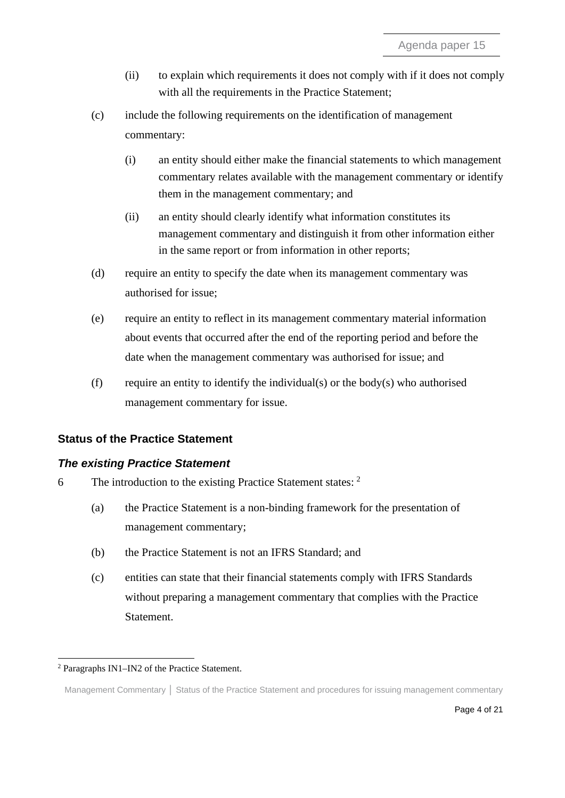- (ii) to explain which requirements it does not comply with if it does not comply with all the requirements in the Practice Statement;
- (c) include the following requirements on the identification of management commentary:
	- (i) an entity should either make the financial statements to which management commentary relates available with the management commentary or identify them in the management commentary; and
	- (ii) an entity should clearly identify what information constitutes its management commentary and distinguish it from other information either in the same report or from information in other reports;
- (d) require an entity to specify the date when its management commentary was authorised for issue;
- (e) require an entity to reflect in its management commentary material information about events that occurred after the end of the reporting period and before the date when the management commentary was authorised for issue; and
- (f) require an entity to identify the individual(s) or the body(s) who authorised management commentary for issue.

# **Status of the Practice Statement**

# *The existing Practice Statement*

- <span id="page-3-0"></span>6 The introduction to the existing Practice Statement states: [2](#page-3-1)
	- (a) the Practice Statement is a non-binding framework for the presentation of management commentary;
	- (b) the Practice Statement is not an IFRS Standard; and
	- (c) entities can state that their financial statements comply with IFRS Standards without preparing a management commentary that complies with the Practice Statement.

<span id="page-3-1"></span><sup>2</sup> Paragraphs IN1–IN2 of the Practice Statement.

Management Commentary **│** Status of the Practice Statement and procedures for issuing management commentary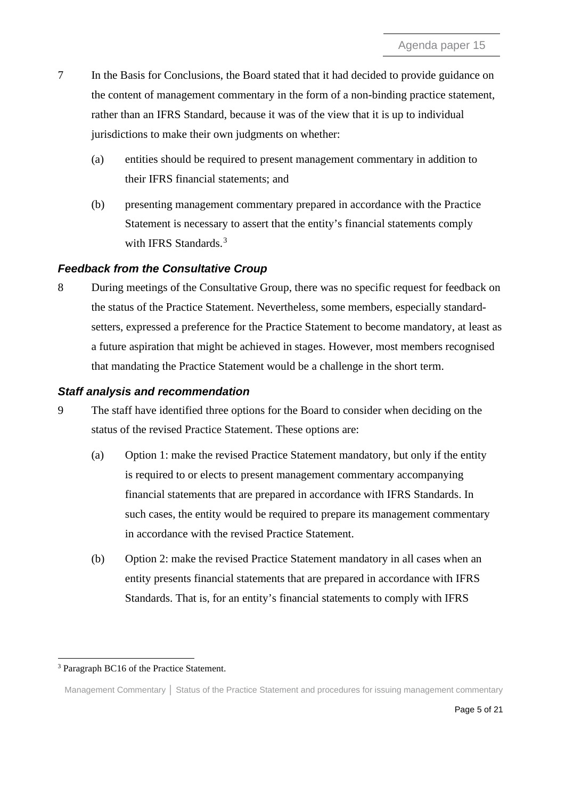- <span id="page-4-0"></span>7 In the Basis for Conclusions, the Board stated that it had decided to provide guidance on the content of management commentary in the form of a non-binding practice statement, rather than an IFRS Standard, because it was of the view that it is up to individual jurisdictions to make their own judgments on whether:
	- (a) entities should be required to present management commentary in addition to their IFRS financial statements; and
	- (b) presenting management commentary prepared in accordance with the Practice Statement is necessary to assert that the entity's financial statements comply with IFRS Standards.<sup>[3](#page-4-3)</sup>

# *Feedback from the Consultative Croup*

<span id="page-4-1"></span>8 During meetings of the Consultative Group, there was no specific request for feedback on the status of the Practice Statement. Nevertheless, some members, especially standardsetters, expressed a preference for the Practice Statement to become mandatory, at least as a future aspiration that might be achieved in stages. However, most members recognised that mandating the Practice Statement would be a challenge in the short term.

## *Staff analysis and recommendation*

- <span id="page-4-2"></span>9 The staff have identified three options for the Board to consider when deciding on the status of the revised Practice Statement. These options are:
	- (a) Option 1: make the revised Practice Statement mandatory, but only if the entity is required to or elects to present management commentary accompanying financial statements that are prepared in accordance with IFRS Standards. In such cases, the entity would be required to prepare its management commentary in accordance with the revised Practice Statement.
	- (b) Option 2: make the revised Practice Statement mandatory in all cases when an entity presents financial statements that are prepared in accordance with IFRS Standards. That is, for an entity's financial statements to comply with IFRS

<span id="page-4-3"></span><sup>&</sup>lt;sup>3</sup> Paragraph BC16 of the Practice Statement.

Management Commentary **│** Status of the Practice Statement and procedures for issuing management commentary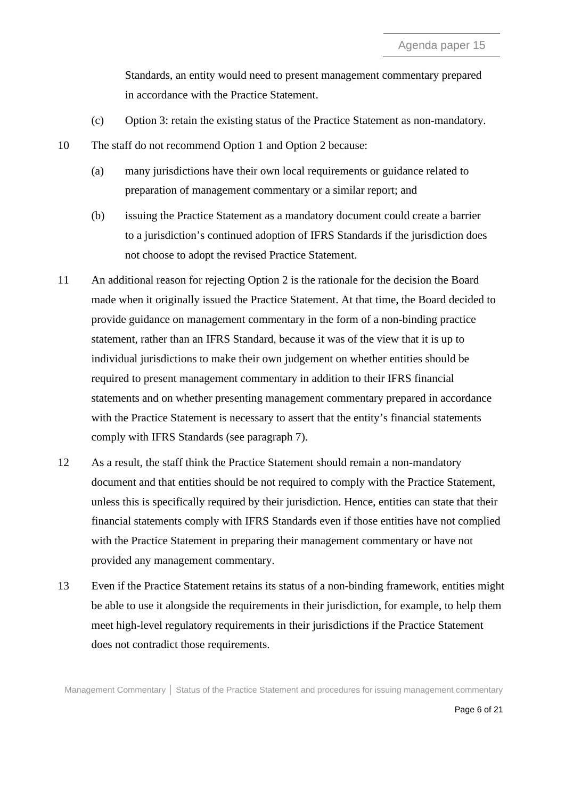Standards, an entity would need to present management commentary prepared in accordance with the Practice Statement.

- (c) Option 3: retain the existing status of the Practice Statement as non-mandatory.
- 10 The staff do not recommend Option 1 and Option 2 because:
	- (a) many jurisdictions have their own local requirements or guidance related to preparation of management commentary or a similar report; and
	- (b) issuing the Practice Statement as a mandatory document could create a barrier to a jurisdiction's continued adoption of IFRS Standards if the jurisdiction does not choose to adopt the revised Practice Statement.
- 11 An additional reason for rejecting Option 2 is the rationale for the decision the Board made when it originally issued the Practice Statement. At that time, the Board decided to provide guidance on management commentary in the form of a non-binding practice statement, rather than an IFRS Standard, because it was of the view that it is up to individual jurisdictions to make their own judgement on whether entities should be required to present management commentary in addition to their IFRS financial statements and on whether presenting management commentary prepared in accordance with the Practice Statement is necessary to assert that the entity's financial statements comply with IFRS Standards (see paragraph 7).
- 12 As a result, the staff think the Practice Statement should remain a non-mandatory document and that entities should be not required to comply with the Practice Statement, unless this is specifically required by their jurisdiction. Hence, entities can state that their financial statements comply with IFRS Standards even if those entities have not complied with the Practice Statement in preparing their management commentary or have not provided any management commentary.
- 13 Even if the Practice Statement retains its status of a non-binding framework, entities might be able to use it alongside the requirements in their jurisdiction, for example, to help them meet high-level regulatory requirements in their jurisdictions if the Practice Statement does not contradict those requirements.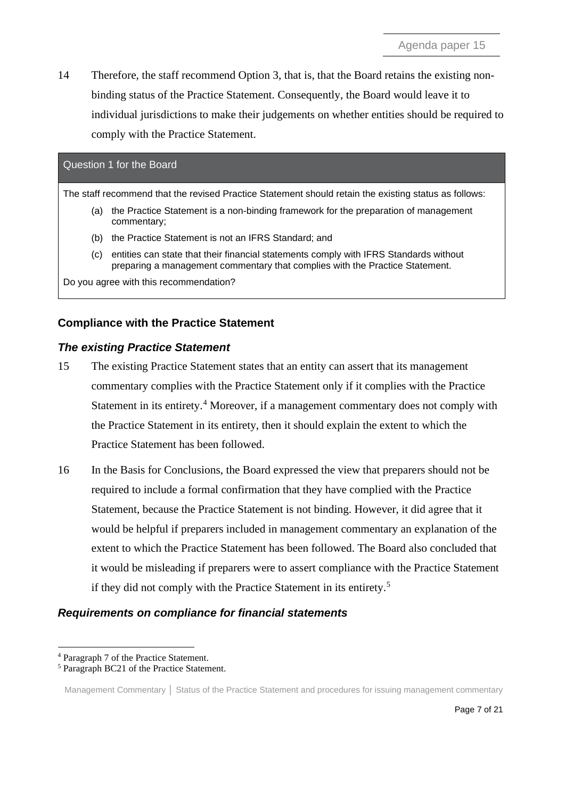<span id="page-6-0"></span>14 Therefore, the staff recommend Option 3, that is, that the Board retains the existing nonbinding status of the Practice Statement. Consequently, the Board would leave it to individual jurisdictions to make their judgements on whether entities should be required to comply with the Practice Statement.

# Question 1 for the Board

The staff recommend that the revised Practice Statement should retain the existing status as follows:

- (a) the Practice Statement is a non-binding framework for the preparation of management commentary;
- (b) the Practice Statement is not an IFRS Standard; and
- (c) entities can state that their financial statements comply with IFRS Standards without preparing a management commentary that complies with the Practice Statement.

Do you agree with this recommendation?

# **Compliance with the Practice Statement**

## *The existing Practice Statement*

- <span id="page-6-1"></span>15 The existing Practice Statement states that an entity can assert that its management commentary complies with the Practice Statement only if it complies with the Practice Statement in its entirety.<sup>[4](#page-6-3)</sup> Moreover, if a management commentary does not comply with the Practice Statement in its entirety, then it should explain the extent to which the Practice Statement has been followed.
- <span id="page-6-2"></span>16 In the Basis for Conclusions, the Board expressed the view that preparers should not be required to include a formal confirmation that they have complied with the Practice Statement, because the Practice Statement is not binding. However, it did agree that it would be helpful if preparers included in management commentary an explanation of the extent to which the Practice Statement has been followed. The Board also concluded that it would be misleading if preparers were to assert compliance with the Practice Statement if they did not comply with the Practice Statement in its entirety. [5](#page-6-4)

# *Requirements on compliance for financial statements*

<span id="page-6-3"></span><sup>4</sup> Paragraph 7 of the Practice Statement.

<span id="page-6-4"></span><sup>5</sup> Paragraph BC21 of the Practice Statement.

Management Commentary | Status of the Practice Statement and procedures for issuing management commentary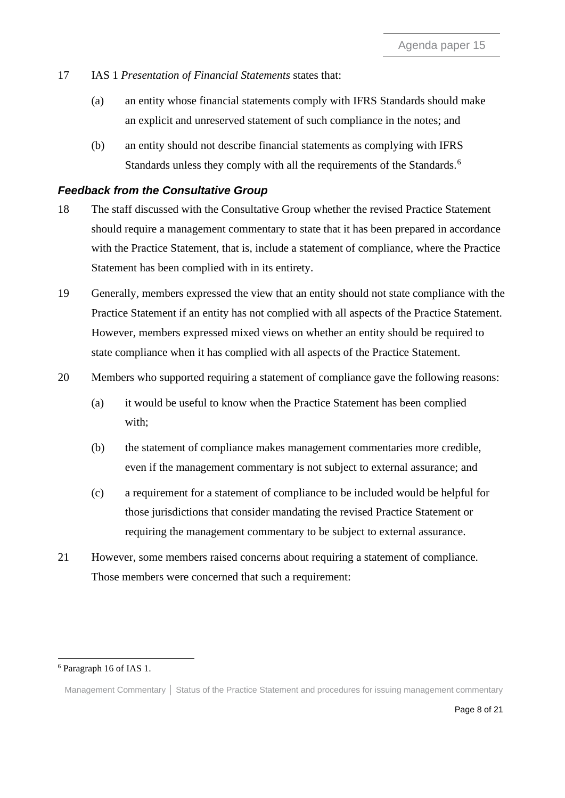- <span id="page-7-0"></span>17 IAS 1 *Presentation of Financial Statements* states that:
	- (a) an entity whose financial statements comply with IFRS Standards should make an explicit and unreserved statement of such compliance in the notes; and
	- (b) an entity should not describe financial statements as complying with IFRS Standards unless they comply with all the requirements of the Standards.<sup>[6](#page-7-2)</sup>

## *Feedback from the Consultative Group*

- <span id="page-7-1"></span>18 The staff discussed with the Consultative Group whether the revised Practice Statement should require a management commentary to state that it has been prepared in accordance with the Practice Statement, that is, include a statement of compliance, where the Practice Statement has been complied with in its entirety.
- 19 Generally, members expressed the view that an entity should not state compliance with the Practice Statement if an entity has not complied with all aspects of the Practice Statement. However, members expressed mixed views on whether an entity should be required to state compliance when it has complied with all aspects of the Practice Statement.
- 20 Members who supported requiring a statement of compliance gave the following reasons:
	- (a) it would be useful to know when the Practice Statement has been complied with;
	- (b) the statement of compliance makes management commentaries more credible, even if the management commentary is not subject to external assurance; and
	- (c) a requirement for a statement of compliance to be included would be helpful for those jurisdictions that consider mandating the revised Practice Statement or requiring the management commentary to be subject to external assurance.
- 21 However, some members raised concerns about requiring a statement of compliance. Those members were concerned that such a requirement:

<span id="page-7-2"></span><sup>6</sup> Paragraph 16 of IAS 1.

Management Commentary **│** Status of the Practice Statement and procedures for issuing management commentary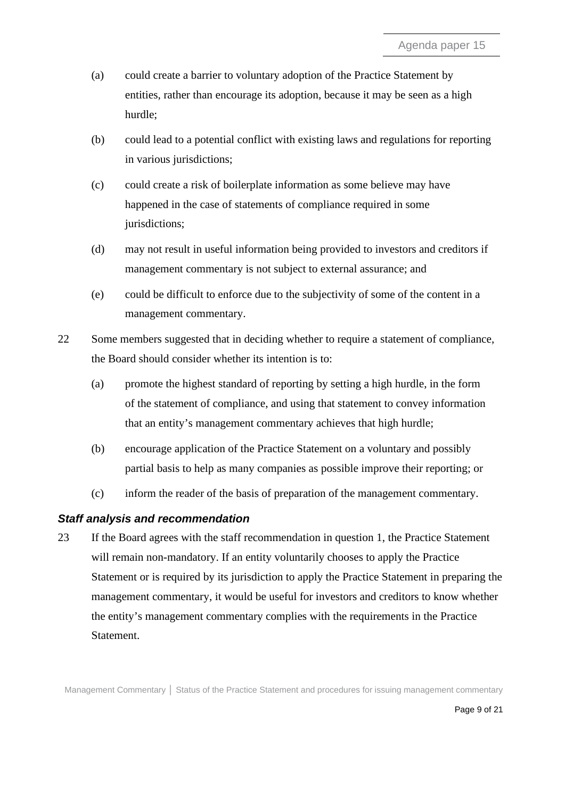- (a) could create a barrier to voluntary adoption of the Practice Statement by entities, rather than encourage its adoption, because it may be seen as a high hurdle;
- (b) could lead to a potential conflict with existing laws and regulations for reporting in various jurisdictions;
- (c) could create a risk of boilerplate information as some believe may have happened in the case of statements of compliance required in some jurisdictions;
- (d) may not result in useful information being provided to investors and creditors if management commentary is not subject to external assurance; and
- (e) could be difficult to enforce due to the subjectivity of some of the content in a management commentary.
- <span id="page-8-0"></span>22 Some members suggested that in deciding whether to require a statement of compliance, the Board should consider whether its intention is to:
	- (a) promote the highest standard of reporting by setting a high hurdle, in the form of the statement of compliance, and using that statement to convey information that an entity's management commentary achieves that high hurdle;
	- (b) encourage application of the Practice Statement on a voluntary and possibly partial basis to help as many companies as possible improve their reporting; or
	- (c) inform the reader of the basis of preparation of the management commentary.

#### *Staff analysis and recommendation*

<span id="page-8-1"></span>23 If the Board agrees with the staff recommendation in question 1, the Practice Statement will remain non-mandatory. If an entity voluntarily chooses to apply the Practice Statement or is required by its jurisdiction to apply the Practice Statement in preparing the management commentary, it would be useful for investors and creditors to know whether the entity's management commentary complies with the requirements in the Practice Statement.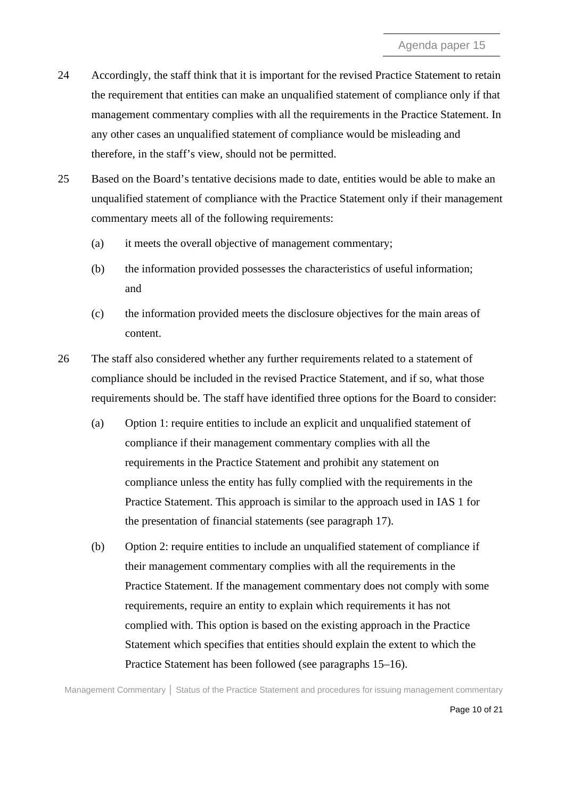- 24 Accordingly, the staff think that it is important for the revised Practice Statement to retain the requirement that entities can make an unqualified statement of compliance only if that management commentary complies with all the requirements in the Practice Statement. In any other cases an unqualified statement of compliance would be misleading and therefore, in the staff's view, should not be permitted.
- 25 Based on the Board's tentative decisions made to date, entities would be able to make an unqualified statement of compliance with the Practice Statement only if their management commentary meets all of the following requirements:
	- (a) it meets the overall objective of management commentary;
	- (b) the information provided possesses the characteristics of useful information; and
	- (c) the information provided meets the disclosure objectives for the main areas of content.
- 26 The staff also considered whether any further requirements related to a statement of compliance should be included in the revised Practice Statement, and if so, what those requirements should be. The staff have identified three options for the Board to consider:
	- (a) Option 1: require entities to include an explicit and unqualified statement of compliance if their management commentary complies with all the requirements in the Practice Statement and prohibit any statement on compliance unless the entity has fully complied with the requirements in the Practice Statement. This approach is similar to the approach used in IAS 1 for the presentation of financial statements (see paragraph 17).
	- (b) Option 2: require entities to include an unqualified statement of compliance if their management commentary complies with all the requirements in the Practice Statement. If the management commentary does not comply with some requirements, require an entity to explain which requirements it has not complied with. This option is based on the existing approach in the Practice Statement which specifies that entities should explain the extent to which the Practice Statement has been followed (see paragraphs 15–16).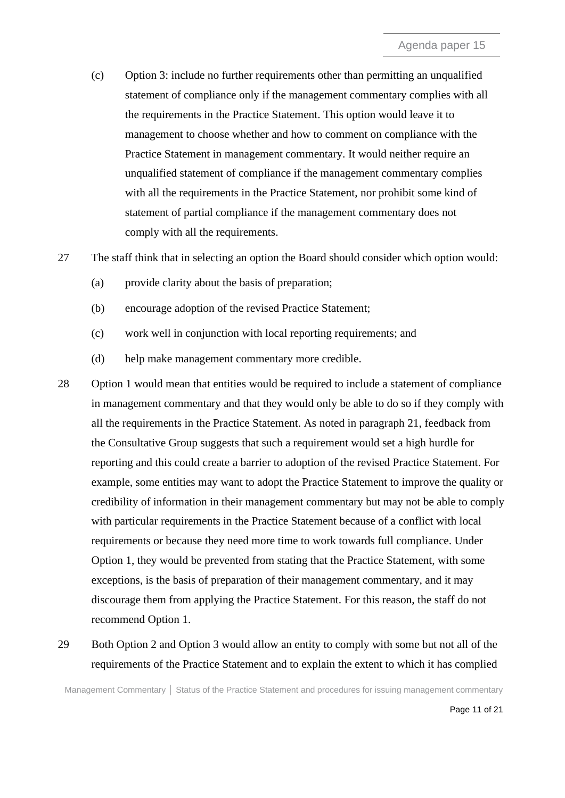- (c) Option 3: include no further requirements other than permitting an unqualified statement of compliance only if the management commentary complies with all the requirements in the Practice Statement. This option would leave it to management to choose whether and how to comment on compliance with the Practice Statement in management commentary. It would neither require an unqualified statement of compliance if the management commentary complies with all the requirements in the Practice Statement, nor prohibit some kind of statement of partial compliance if the management commentary does not comply with all the requirements.
- 27 The staff think that in selecting an option the Board should consider which option would:
	- (a) provide clarity about the basis of preparation;
	- (b) encourage adoption of the revised Practice Statement;
	- (c) work well in conjunction with local reporting requirements; and
	- (d) help make management commentary more credible.
- 28 Option 1 would mean that entities would be required to include a statement of compliance in management commentary and that they would only be able to do so if they comply with all the requirements in the Practice Statement. As noted in paragraph 21, feedback from the Consultative Group suggests that such a requirement would set a high hurdle for reporting and this could create a barrier to adoption of the revised Practice Statement. For example, some entities may want to adopt the Practice Statement to improve the quality or credibility of information in their management commentary but may not be able to comply with particular requirements in the Practice Statement because of a conflict with local requirements or because they need more time to work towards full compliance. Under Option 1, they would be prevented from stating that the Practice Statement, with some exceptions, is the basis of preparation of their management commentary, and it may discourage them from applying the Practice Statement. For this reason, the staff do not recommend Option 1.
- 29 Both Option 2 and Option 3 would allow an entity to comply with some but not all of the requirements of the Practice Statement and to explain the extent to which it has complied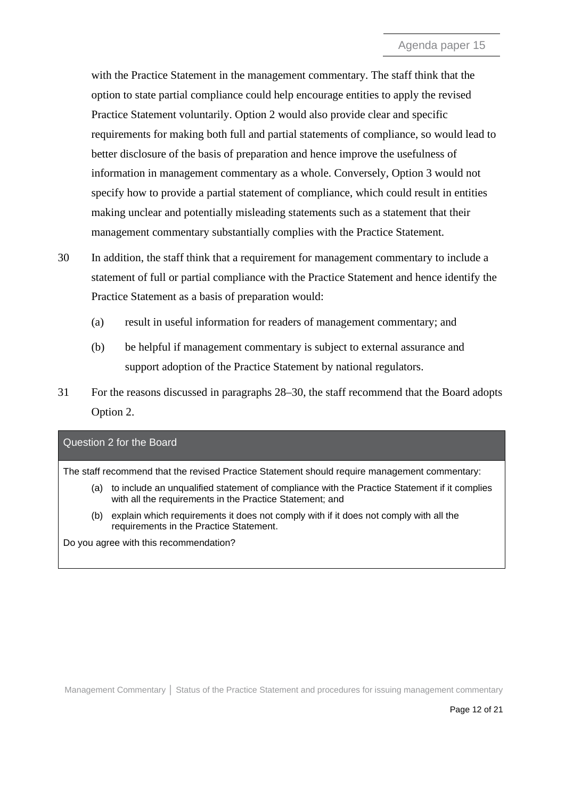with the Practice Statement in the management commentary. The staff think that the option to state partial compliance could help encourage entities to apply the revised Practice Statement voluntarily. Option 2 would also provide clear and specific requirements for making both full and partial statements of compliance, so would lead to better disclosure of the basis of preparation and hence improve the usefulness of information in management commentary as a whole. Conversely, Option 3 would not specify how to provide a partial statement of compliance, which could result in entities making unclear and potentially misleading statements such as a statement that their management commentary substantially complies with the Practice Statement.

- 30 In addition, the staff think that a requirement for management commentary to include a statement of full or partial compliance with the Practice Statement and hence identify the Practice Statement as a basis of preparation would:
	- (a) result in useful information for readers of management commentary; and
	- (b) be helpful if management commentary is subject to external assurance and support adoption of the Practice Statement by national regulators.
- 31 For the reasons discussed in paragraphs 28–30, the staff recommend that the Board adopts Option 2.

# Question 2 for the Board

The staff recommend that the revised Practice Statement should require management commentary:

- (a) to include an unqualified statement of compliance with the Practice Statement if it complies with all the requirements in the Practice Statement; and
- (b) explain which requirements it does not comply with if it does not comply with all the requirements in the Practice Statement.

Do you agree with this recommendation?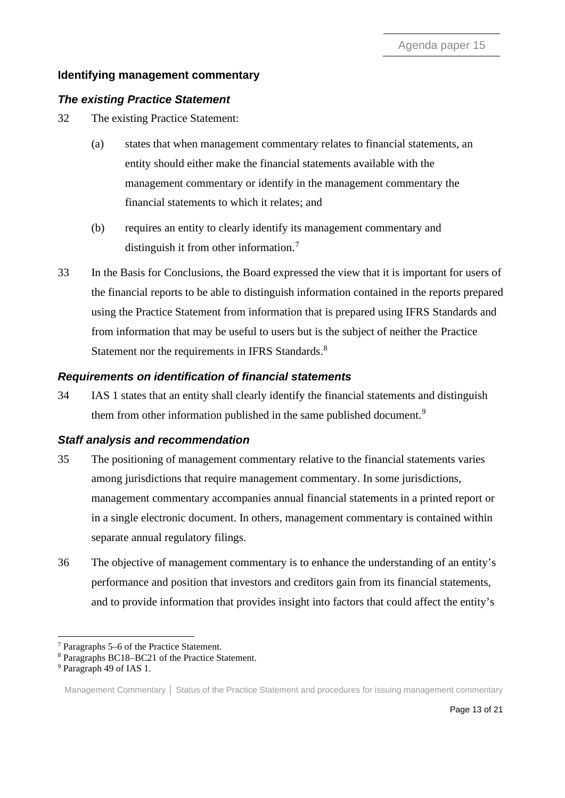# **Identifying management commentary**

# *The existing Practice Statement*

<span id="page-12-0"></span>32 The existing Practice Statement:

- (a) states that when management commentary relates to financial statements, an entity should either make the financial statements available with the management commentary or identify in the management commentary the financial statements to which it relates; and
- (b) requires an entity to clearly identify its management commentary and distinguish it from other information.[7](#page-12-4)
- <span id="page-12-1"></span>33 In the Basis for Conclusions, the Board expressed the view that it is important for users of the financial reports to be able to distinguish information contained in the reports prepared using the Practice Statement from information that is prepared using IFRS Standards and from information that may be useful to users but is the subject of neither the Practice Statement nor the requirements in IFRS Standards.<sup>[8](#page-12-5)</sup>

# *Requirements on identification of financial statements*

<span id="page-12-2"></span>34 IAS 1 states that an entity shall clearly identify the financial statements and distinguish them from other information published in the same published document.<sup>[9](#page-12-6)</sup>

# *Staff analysis and recommendation*

- <span id="page-12-3"></span>35 The positioning of management commentary relative to the financial statements varies among jurisdictions that require management commentary. In some jurisdictions, management commentary accompanies annual financial statements in a printed report or in a single electronic document. In others, management commentary is contained within separate annual regulatory filings.
- <span id="page-12-7"></span>36 The objective of management commentary is to enhance the understanding of an entity's performance and position that investors and creditors gain from its financial statements, and to provide information that provides insight into factors that could affect the entity's

<span id="page-12-5"></span><span id="page-12-4"></span><sup>7</sup> Paragraphs 5–6 of the Practice Statement. 8 Paragraphs BC18–BC21 of the Practice Statement. 9 Paragraph 49 of IAS 1.

<span id="page-12-6"></span>

Management Commentary **│** Status of the Practice Statement and procedures for issuing management commentary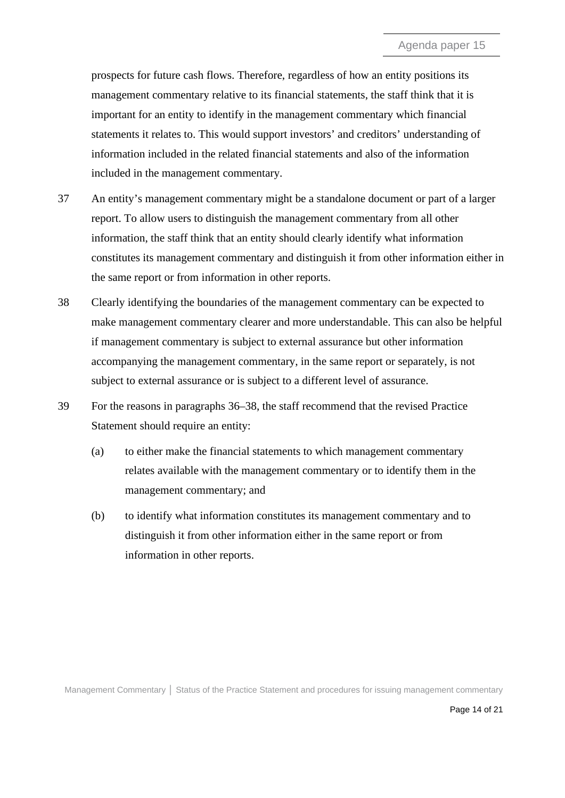prospects for future cash flows. Therefore, regardless of how an entity positions its management commentary relative to its financial statements, the staff think that it is important for an entity to identify in the management commentary which financial statements it relates to. This would support investors' and creditors' understanding of information included in the related financial statements and also of the information included in the management commentary.

- 37 An entity's management commentary might be a standalone document or part of a larger report. To allow users to distinguish the management commentary from all other information, the staff think that an entity should clearly identify what information constitutes its management commentary and distinguish it from other information either in the same report or from information in other reports.
- 38 Clearly identifying the boundaries of the management commentary can be expected to make management commentary clearer and more understandable. This can also be helpful if management commentary is subject to external assurance but other information accompanying the management commentary, in the same report or separately, is not subject to external assurance or is subject to a different level of assurance.
- <span id="page-13-0"></span>39 For the reasons in paragraphs [36–](#page-12-7)38, the staff recommend that the revised Practice Statement should require an entity:
	- (a) to either make the financial statements to which management commentary relates available with the management commentary or to identify them in the management commentary; and
	- (b) to identify what information constitutes its management commentary and to distinguish it from other information either in the same report or from information in other reports.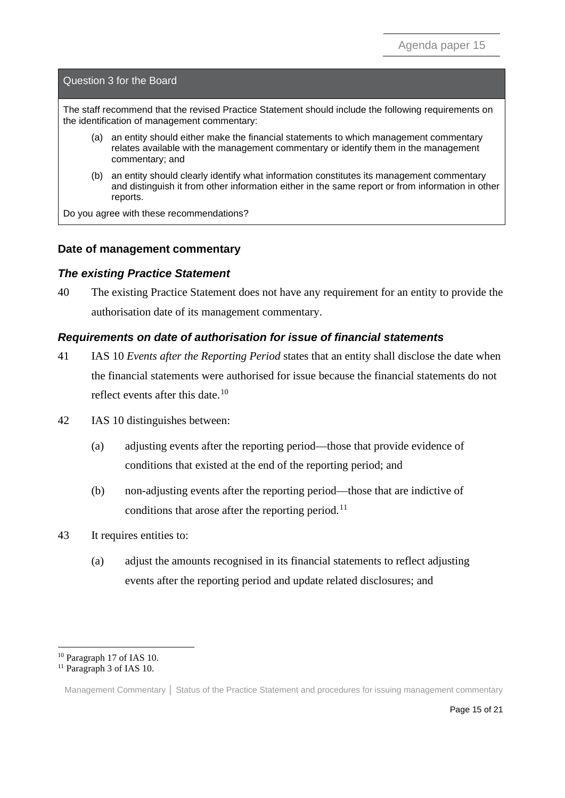Question 3 for the Board

The staff recommend that the revised Practice Statement should include the following requirements on the identification of management commentary:

- (a) an entity should either make the financial statements to which management commentary relates available with the management commentary or identify them in the management commentary; and
- (b) an entity should clearly identify what information constitutes its management commentary and distinguish it from other information either in the same report or from information in other reports.

Do you agree with these recommendations?

#### **Date of management commentary**

#### *The existing Practice Statement*

<span id="page-14-0"></span>40 The existing Practice Statement does not have any requirement for an entity to provide the authorisation date of its management commentary.

#### *Requirements on date of authorisation for issue of financial statements*

- <span id="page-14-1"></span>41 IAS 10 *Events after the Reporting Period* states that an entity shall disclose the date when the financial statements were authorised for issue because the financial statements do not reflect events after this date.<sup>[10](#page-14-2)</sup>
- 42 IAS 10 distinguishes between:
	- (a) adjusting events after the reporting period—those that provide evidence of conditions that existed at the end of the reporting period; and
	- (b) non-adjusting events after the reporting period—those that are indictive of conditions that arose after the reporting period.<sup>[11](#page-14-3)</sup>
- 43 It requires entities to:
	- (a) adjust the amounts recognised in its financial statements to reflect adjusting events after the reporting period and update related disclosures; and

<span id="page-14-3"></span><span id="page-14-2"></span> $^{10}$  Paragraph 17 of IAS 10.  $^{11}$  Paragraph 3 of IAS 10.

Management Commentary **│** Status of the Practice Statement and procedures for issuing management commentary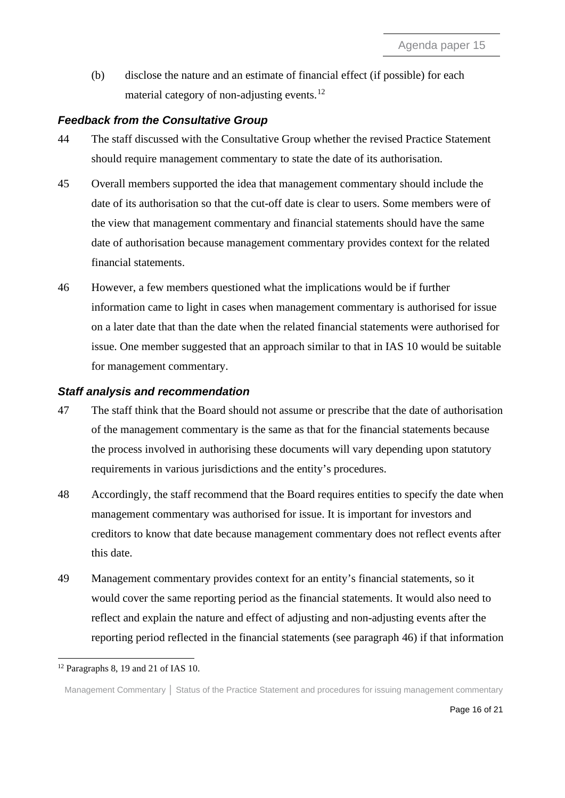(b) disclose the nature and an estimate of financial effect (if possible) for each material category of non-adjusting events.<sup>[12](#page-15-3)</sup>

## *Feedback from the Consultative Group*

- <span id="page-15-0"></span>44 The staff discussed with the Consultative Group whether the revised Practice Statement should require management commentary to state the date of its authorisation.
- 45 Overall members supported the idea that management commentary should include the date of its authorisation so that the cut-off date is clear to users. Some members were of the view that management commentary and financial statements should have the same date of authorisation because management commentary provides context for the related financial statements.
- <span id="page-15-1"></span>46 However, a few members questioned what the implications would be if further information came to light in cases when management commentary is authorised for issue on a later date that than the date when the related financial statements were authorised for issue. One member suggested that an approach similar to that in IAS 10 would be suitable for management commentary.

#### *Staff analysis and recommendation*

- <span id="page-15-2"></span>47 The staff think that the Board should not assume or prescribe that the date of authorisation of the management commentary is the same as that for the financial statements because the process involved in authorising these documents will vary depending upon statutory requirements in various jurisdictions and the entity's procedures.
- 48 Accordingly, the staff recommend that the Board requires entities to specify the date when management commentary was authorised for issue. It is important for investors and creditors to know that date because management commentary does not reflect events after this date.
- 49 Management commentary provides context for an entity's financial statements, so it would cover the same reporting period as the financial statements. It would also need to reflect and explain the nature and effect of adjusting and non-adjusting events after the reporting period reflected in the financial statements (see paragraph 46) if that information

<span id="page-15-3"></span> $12$  Paragraphs 8, 19 and 21 of IAS 10.

Management Commentary **│** Status of the Practice Statement and procedures for issuing management commentary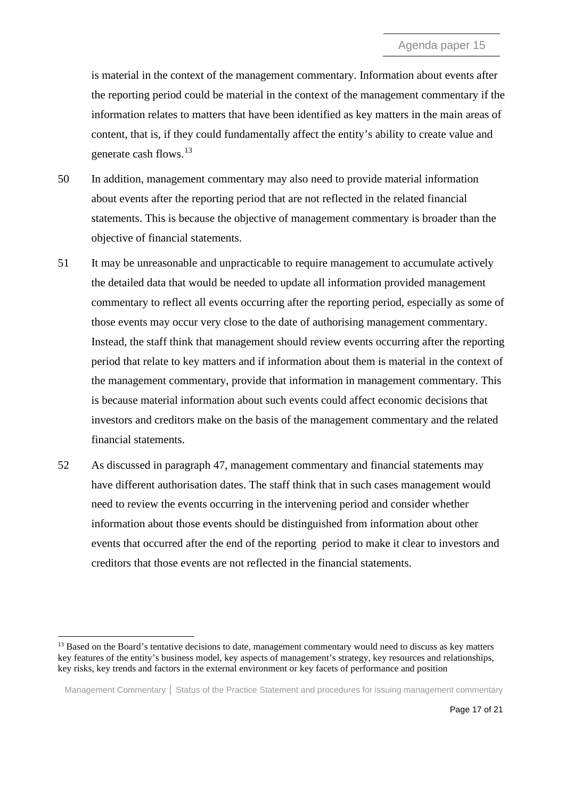is material in the context of the management commentary. Information about events after the reporting period could be material in the context of the management commentary if the information relates to matters that have been identified as key matters in the main areas of content, that is, if they could fundamentally affect the entity's ability to create value and generate cash flows. [13](#page-16-0)

- 50 In addition, management commentary may also need to provide material information about events after the reporting period that are not reflected in the related financial statements. This is because the objective of management commentary is broader than the objective of financial statements.
- 51 It may be unreasonable and unpracticable to require management to accumulate actively the detailed data that would be needed to update all information provided management commentary to reflect all events occurring after the reporting period, especially as some of those events may occur very close to the date of authorising management commentary. Instead, the staff think that management should review events occurring after the reporting period that relate to key matters and if information about them is material in the context of the management commentary, provide that information in management commentary. This is because material information about such events could affect economic decisions that investors and creditors make on the basis of the management commentary and the related financial statements.
- 52 As discussed in paragraph 47, management commentary and financial statements may have different authorisation dates. The staff think that in such cases management would need to review the events occurring in the intervening period and consider whether information about those events should be distinguished from information about other events that occurred after the end of the reporting period to make it clear to investors and creditors that those events are not reflected in the financial statements.

<span id="page-16-0"></span><sup>&</sup>lt;sup>13</sup> Based on the Board's tentative decisions to date, management commentary would need to discuss as key matters key features of the entity's business model, key aspects of management's strategy, key resources and relationships, key risks, key trends and factors in the external environment or key facets of performance and position

Management Commentary **│** Status of the Practice Statement and procedures for issuing management commentary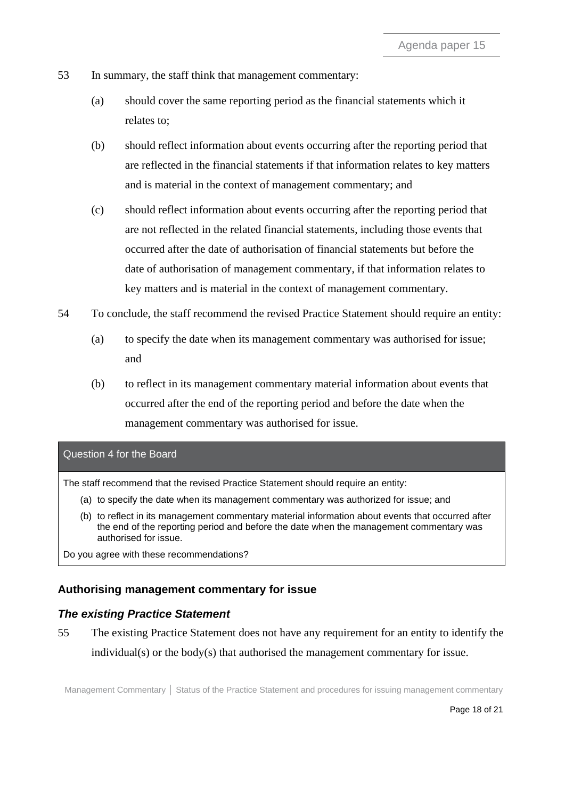- 53 In summary, the staff think that management commentary:
	- (a) should cover the same reporting period as the financial statements which it relates to;
	- (b) should reflect information about events occurring after the reporting period that are reflected in the financial statements if that information relates to key matters and is material in the context of management commentary; and
	- (c) should reflect information about events occurring after the reporting period that are not reflected in the related financial statements, including those events that occurred after the date of authorisation of financial statements but before the date of authorisation of management commentary, if that information relates to key matters and is material in the context of management commentary.
- <span id="page-17-0"></span>54 To conclude, the staff recommend the revised Practice Statement should require an entity:
	- (a) to specify the date when its management commentary was authorised for issue; and
	- (b) to reflect in its management commentary material information about events that occurred after the end of the reporting period and before the date when the management commentary was authorised for issue.

#### Question 4 for the Board

The staff recommend that the revised Practice Statement should require an entity:

- (a) to specify the date when its management commentary was authorized for issue; and
- (b) to reflect in its management commentary material information about events that occurred after the end of the reporting period and before the date when the management commentary was authorised for issue.

Do you agree with these recommendations?

# **Authorising management commentary for issue**

#### *The existing Practice Statement*

<span id="page-17-1"></span>55 The existing Practice Statement does not have any requirement for an entity to identify the individual(s) or the body(s) that authorised the management commentary for issue.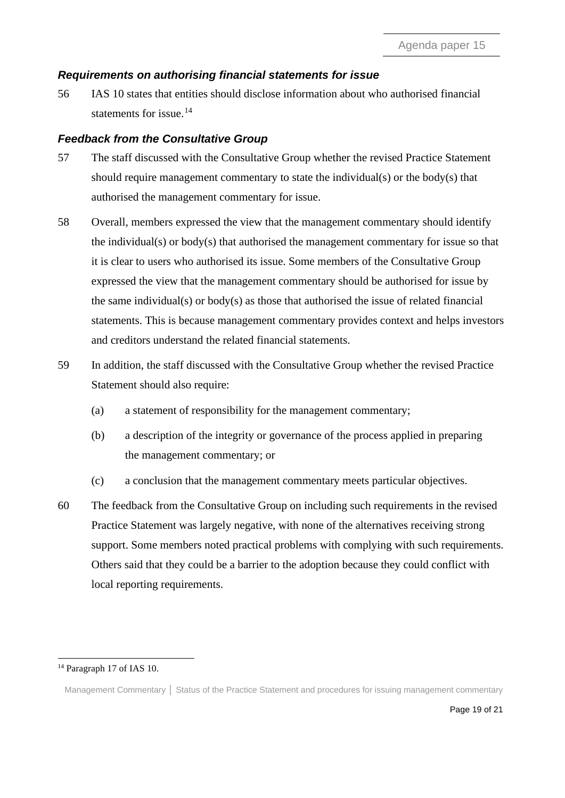# *Requirements on authorising financial statements for issue*

<span id="page-18-0"></span>56 IAS 10 states that entities should disclose information about who authorised financial statements for issue.<sup>[14](#page-18-2)</sup>

# *Feedback from the Consultative Group*

- <span id="page-18-1"></span>57 The staff discussed with the Consultative Group whether the revised Practice Statement should require management commentary to state the individual(s) or the body(s) that authorised the management commentary for issue.
- 58 Overall, members expressed the view that the management commentary should identify the individual(s) or body(s) that authorised the management commentary for issue so that it is clear to users who authorised its issue. Some members of the Consultative Group expressed the view that the management commentary should be authorised for issue by the same individual(s) or body(s) as those that authorised the issue of related financial statements. This is because management commentary provides context and helps investors and creditors understand the related financial statements.
- 59 In addition, the staff discussed with the Consultative Group whether the revised Practice Statement should also require:
	- (a) a statement of responsibility for the management commentary;
	- (b) a description of the integrity or governance of the process applied in preparing the management commentary; or
	- (c) a conclusion that the management commentary meets particular objectives.
- 60 The feedback from the Consultative Group on including such requirements in the revised Practice Statement was largely negative, with none of the alternatives receiving strong support. Some members noted practical problems with complying with such requirements. Others said that they could be a barrier to the adoption because they could conflict with local reporting requirements.

<span id="page-18-2"></span><sup>&</sup>lt;sup>14</sup> Paragraph 17 of IAS 10.

Management Commentary **│** Status of the Practice Statement and procedures for issuing management commentary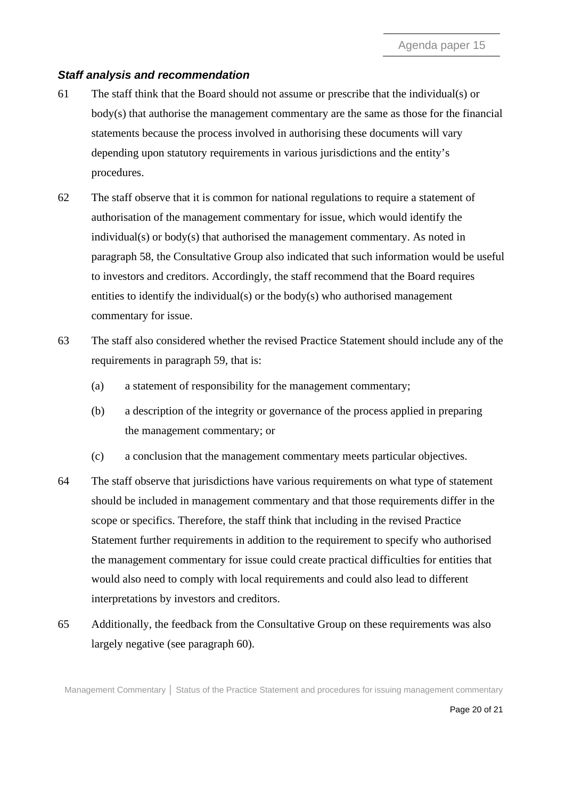## *Staff analysis and recommendation*

- <span id="page-19-0"></span>61 The staff think that the Board should not assume or prescribe that the individual(s) or body(s) that authorise the management commentary are the same as those for the financial statements because the process involved in authorising these documents will vary depending upon statutory requirements in various jurisdictions and the entity's procedures.
- 62 The staff observe that it is common for national regulations to require a statement of authorisation of the management commentary for issue, which would identify the individual(s) or body(s) that authorised the management commentary. As noted in paragraph 58, the Consultative Group also indicated that such information would be useful to investors and creditors. Accordingly, the staff recommend that the Board requires entities to identify the individual(s) or the body(s) who authorised management commentary for issue.
- 63 The staff also considered whether the revised Practice Statement should include any of the requirements in paragraph 59, that is:
	- (a) a statement of responsibility for the management commentary;
	- (b) a description of the integrity or governance of the process applied in preparing the management commentary; or
	- (c) a conclusion that the management commentary meets particular objectives.
- 64 The staff observe that jurisdictions have various requirements on what type of statement should be included in management commentary and that those requirements differ in the scope or specifics. Therefore, the staff think that including in the revised Practice Statement further requirements in addition to the requirement to specify who authorised the management commentary for issue could create practical difficulties for entities that would also need to comply with local requirements and could also lead to different interpretations by investors and creditors.
- 65 Additionally, the feedback from the Consultative Group on these requirements was also largely negative (see paragraph 60).